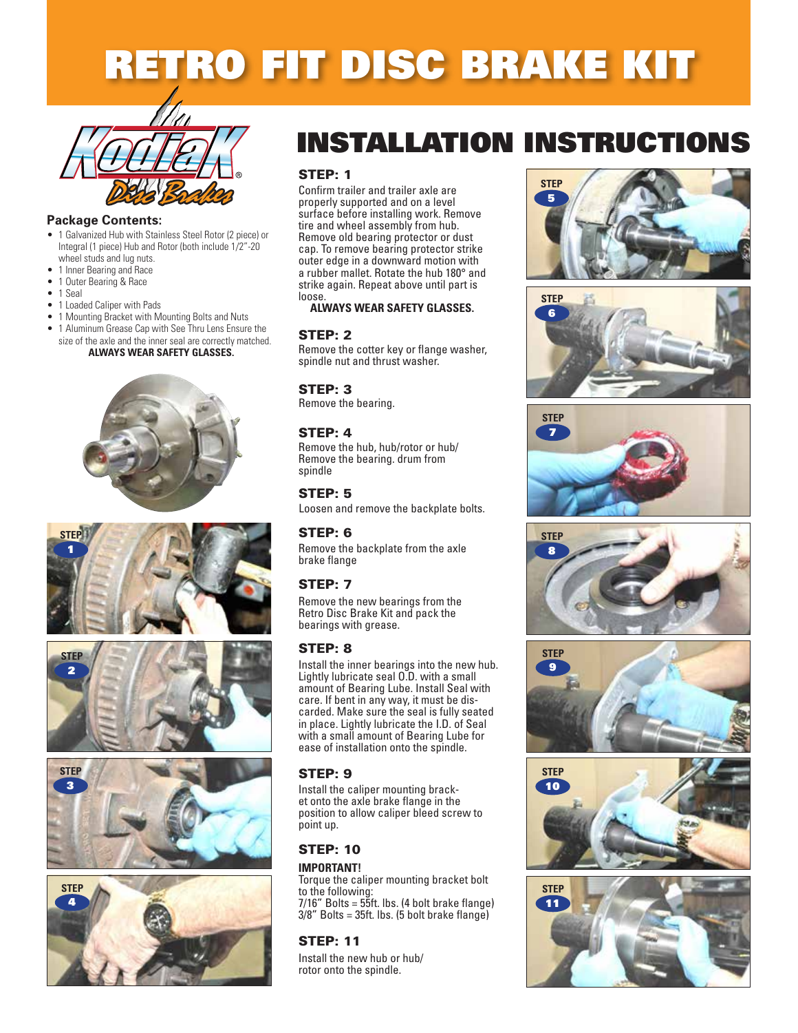# RETRO FIT DISC BRAKE KIT



#### **Package Contents:**

- 1 Galvanized Hub with Stainless Steel Rotor (2 piece) or Integral (1 piece) Hub and Rotor (both include 1/2"-20 wheel studs and lug nuts.
- 1 Inner Bearing and Race
- 1 Outer Bearing & Race
- 1 Seal
- 1 Loaded Caliper with Pads
- 1 Mounting Bracket with Mounting Bolts and Nuts
- 1 Aluminum Grease Cap with See Thru Lens Ensure the size of the axle and the inner seal are correctly matched.













## INSTALLATION INSTRUCTIONS

#### STEP: 1

Confirm trailer and trailer axle are properly supported and on a level surface before installing work. Remove tire and wheel assembly from hub. Remove old bearing protector or dust cap. To remove bearing protector strike outer edge in a downward motion with a rubber mallet. Rotate the hub 180° and strike again. Repeat above until part is loose.

#### **ALWAYS WEAR SAFETY GLASSES.**

#### STEP: 2

Remove the cotter key or flange washer, spindle nut and thrust washer.

#### STEP: 3

Remove the bearing.

#### STEP: 4

Remove the hub, hub/rotor or hub/ Remove the bearing. drum from spindle

#### STEP: 5

Loosen and remove the backplate bolts.

#### STEP: 6

Remove the backplate from the axle brake flange

#### STEP: 7

Remove the new bearings from the Retro Disc Brake Kit and pack the bearings with grease.

#### STEP: 8

Install the inner bearings into the new hub. Lightly lubricate seal O.D. with a small amount of Bearing Lube. Install Seal with care. If bent in any way, it must be discarded. Make sure the seal is fully seated in place. Lightly lubricate the I.D. of Seal with a small amount of Bearing Lube for ease of installation onto the spindle.

#### STEP: 9

Install the caliper mounting bracket onto the axle brake flange in the position to allow caliper bleed screw to point up.

#### STEP: 10

#### **IMPORTANT!**

Torque the caliper mounting bracket bolt to the following: 7/16" Bolts = 55ft. lbs. (4 bolt brake flange)  $3/8$ " Bolts =  $35$ ft. lbs. (5 bolt brake flange)

#### STEP: 11

Install the new hub or hub/ rotor onto the spindle.